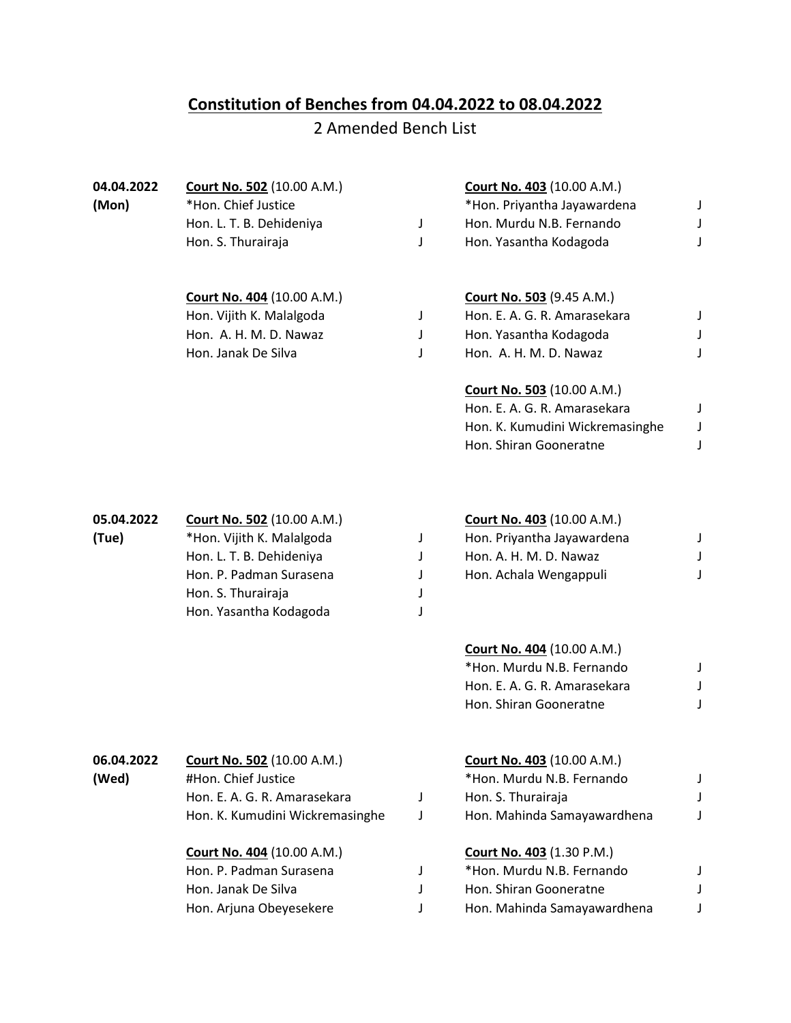## **Constitution of Benches from 04.04.2022 to 08.04.2022**

## 2 Amended Bench List

| 04.04.2022<br>(Mon) | <b>Court No. 502 (10.00 A.M.)</b><br>*Hon. Chief Justice |   | <b>Court No. 403</b> (10.00 A.M.)<br>*Hon. Priyantha Jayawardena | J |
|---------------------|----------------------------------------------------------|---|------------------------------------------------------------------|---|
|                     | Hon. L. T. B. Dehideniya                                 | J | Hon. Murdu N.B. Fernando                                         | J |
|                     | Hon. S. Thurairaja                                       | J | Hon. Yasantha Kodagoda                                           | J |
|                     | Court No. 404 (10.00 A.M.)                               |   | <b>Court No. 503 (9.45 A.M.)</b>                                 |   |
|                     | Hon. Vijith K. Malalgoda                                 | J | Hon. E. A. G. R. Amarasekara                                     | J |
|                     | Hon. A. H. M. D. Nawaz                                   | J | Hon. Yasantha Kodagoda                                           |   |
|                     | Hon. Janak De Silva                                      | J | Hon. A. H. M. D. Nawaz                                           | J |
|                     |                                                          |   | <b>Court No. 503 (10.00 A.M.)</b>                                |   |
|                     |                                                          |   | Hon. E. A. G. R. Amarasekara                                     | J |
|                     |                                                          |   | Hon. K. Kumudini Wickremasinghe                                  | J |
|                     |                                                          |   | Hon. Shiran Gooneratne                                           | J |
| 05.04.2022          | Court No. 502 (10.00 A.M.)                               |   | <b>Court No. 403 (10.00 A.M.)</b>                                |   |
| (Tue)               | *Hon. Vijith K. Malalgoda                                | J | Hon. Priyantha Jayawardena                                       | J |
|                     | Hon. L. T. B. Dehideniya                                 | J | Hon. A. H. M. D. Nawaz                                           | J |
|                     | Hon. P. Padman Surasena                                  | J | Hon. Achala Wengappuli                                           | J |
|                     | Hon. S. Thurairaja                                       | J |                                                                  |   |
|                     | Hon. Yasantha Kodagoda                                   | J |                                                                  |   |
|                     |                                                          |   | <b>Court No. 404 (10.00 A.M.)</b>                                |   |
|                     |                                                          |   | *Hon. Murdu N.B. Fernando                                        | J |
|                     |                                                          |   | Hon. E. A. G. R. Amarasekara                                     | J |
|                     |                                                          |   | Hon. Shiran Gooneratne                                           | J |
| 06.04.2022          | <b>Court No. 502 (10.00 A.M.)</b>                        |   | <b>Court No. 403 (10.00 A.M.)</b>                                |   |
| (Wed)               | #Hon. Chief Justice                                      |   | *Hon. Murdu N.B. Fernando                                        | J |
|                     | Hon. E. A. G. R. Amarasekara                             | J | Hon. S. Thurairaja                                               | J |
|                     | Hon. K. Kumudini Wickremasinghe                          | J | Hon. Mahinda Samayawardhena                                      | J |
|                     | <b>Court No. 404 (10.00 A.M.)</b>                        |   | <b>Court No. 403 (1.30 P.M.)</b>                                 |   |
|                     | Hon. P. Padman Surasena                                  | J | *Hon. Murdu N.B. Fernando                                        | J |
|                     | Hon. Janak De Silva                                      | J | Hon. Shiran Gooneratne                                           | J |
|                     | Hon. Arjuna Obeyesekere                                  | J | Hon. Mahinda Samayawardhena                                      | J |